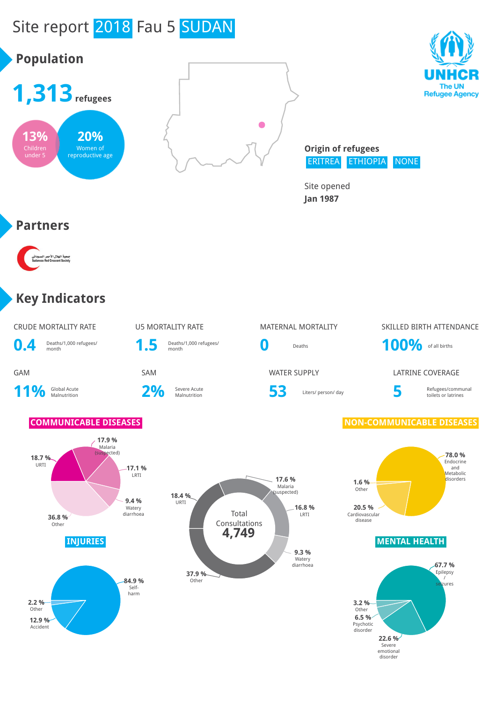# Site report 2018 Fau 5 SUDAN





**Origin of refugees** ERITREA ETHIOPIA NONE

> **22.6 %** Severe emotional disorder

**6.5 %** Psychotic disorder

Site opened **Jan 1987**

#### **Partners**

**13%** Children under 5

**Population**

۔<br>جمعیة الهلال الأح<br>Crescent Society

**12.9 %** Accident

### **Key Indicators**

| <b>CRUDE MORTALITY RATE</b><br>Deaths/1,000 refugees/<br>0.4<br>month                                                  | <b>U5 MORTALITY RATE</b><br>1.5                 | Deaths/1,000 refugees/<br>month                   | <b>MATERNAL MORTALITY</b><br>O<br>Deaths                                                                                                    | SKILLED BIRTH ATTENDANCE<br>100% of all births                                                                             |
|------------------------------------------------------------------------------------------------------------------------|-------------------------------------------------|---------------------------------------------------|---------------------------------------------------------------------------------------------------------------------------------------------|----------------------------------------------------------------------------------------------------------------------------|
| GAM<br>11%<br>Global Acute<br>Malnutrition                                                                             | SAM<br>2%                                       | Severe Acute<br>Malnutrition                      | <b>WATER SUPPLY</b><br>53<br>Liters/ person/ day                                                                                            | <b>LATRINE COVERAGE</b><br>5<br>Refugees/communal<br>toilets or latrines                                                   |
| <b>COMMUNICABLE DISEASES</b><br>17.9 %<br>Malaria<br>(suspected)<br>18.7%<br>URTI<br>36.8%<br>Other<br><b>INJURIES</b> | $-17.1%$<br>LRTI<br>9.4%<br>Watery<br>diarrhoea | 18.4 %<br>URTI<br>Total<br>Consultations<br>4,749 | 17.6 %<br>1.6 %<br>Malaria<br>Other<br>(suspected)<br>16.8 %<br>20.5 %<br>LRTI<br>Cardiovascular<br>disease<br>9.3 %<br>Watery<br>diarrhoea | <b>NON-COMMUNICABLE DISEASES</b><br>78.0 %<br>Endocrine<br>and<br>Metabolic<br>disorders<br><b>MENTAL HEALTH</b><br>67.7 % |
| 2.2%<br>Other                                                                                                          | 84.9%<br>Self-<br>harm                          | 37.9 %<br>Other                                   | 3.2%<br>Other                                                                                                                               | Epilepsy<br>$\sqrt{ }$<br>seizures                                                                                         |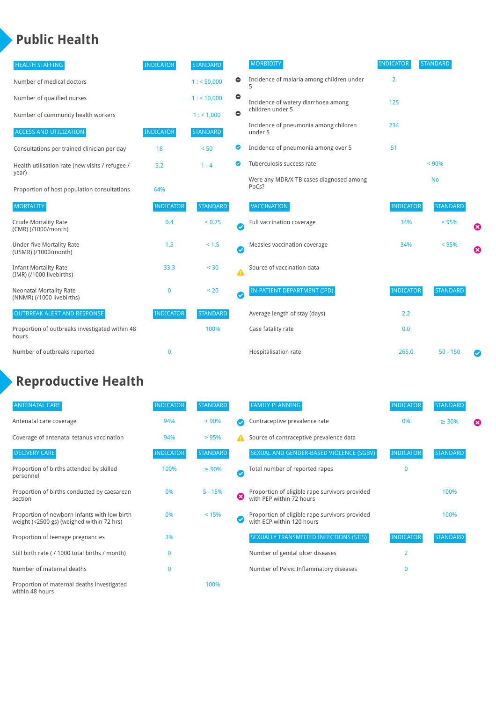#### **Public Health**

| <b>HEALTH STAFFING</b>                                      | <b>INDICATOR</b> | <b>STANDARD</b> |           | <b>MORBIDITY</b>                                 | <b>INDICATOR</b> | <b>STANDARD</b> |   |
|-------------------------------------------------------------|------------------|-----------------|-----------|--------------------------------------------------|------------------|-----------------|---|
| Number of medical doctors                                   |                  | 1: 50,000       | $\bullet$ | Incidence of malaria among children under        | $\overline{2}$   |                 |   |
| Number of qualified nurses                                  |                  | 1:10,000        | $\bullet$ | Incidence of watery diarrhoea among              | 125              |                 |   |
| Number of community health workers                          |                  | 1:1,000         | $\bullet$ | children under 5                                 |                  |                 |   |
| <b>ACCESS AND UTILIZATION</b>                               | <b>INDICATOR</b> | <b>STANDARD</b> |           | Incidence of pneumonia among children<br>under 5 | 234              |                 |   |
| Consultations per trained clinician per day                 | 16               | < 50            | ◉         | Incidence of pneumonia among over 5              | 51               |                 |   |
| Health utilisation rate (new visits / refugee /             | 3.2              | $1 - 4$         | ◙         | Tuberculosis success rate                        |                  | < 90%           |   |
| year)<br>Proportion of host population consultations        | 64%              |                 |           | Were any MDR/X-TB cases diagnosed among<br>PoCs? |                  | <b>No</b>       |   |
| <b>MORTALITY</b>                                            | <b>INDICATOR</b> | <b>STANDARD</b> |           | VACCINATION                                      | <b>INDICATOR</b> | <b>STANDARD</b> |   |
| <b>Crude Mortality Rate</b><br>(CMR) (/1000/month)          | 0.4              | < 0.75          | Ø         | Full vaccination coverage                        | 34%              | < 95%           | Ø |
| <b>Under-five Mortality Rate</b><br>(U5MR) (/1000/month)    | 1.5              | < 1.5           | Ø         | Measles vaccination coverage                     | 34%              | < 95%           | Ø |
| <b>Infant Mortality Rate</b><br>(IMR) (/1000 livebirths)    | 33.3             | < 30            | Δ         | Source of vaccination data                       |                  |                 |   |
| <b>Neonatal Mortality Rate</b><br>(NNMR) (/1000 livebirths) | $\bf{0}$         | < 20            | $\bullet$ | IN-PATIENT DEPARTMENT (IPD)                      | <b>INDICATOR</b> | <b>STANDARD</b> |   |
| <b>OUTBREAK ALERT AND RESPONSE</b>                          | <b>INDICATOR</b> | <b>STANDARD</b> |           | Average length of stay (days)                    | 2.2              |                 |   |
| Proportion of outbreaks investigated within 48<br>hours     |                  | 100%            |           | Case fatality rate                               | 0.0              |                 |   |
| Number of outbreaks reported                                | $\bf{0}$         |                 |           | Hospitalisation rate                             | 265.0            | $50 - 150$      |   |

## **Reproductive Health**

| <b>ANTENATAL CARE</b>                                                                     | <b>INDICATOR</b> | <b>STANDARD</b> |               | <b>FAMILY PLANNING</b>                                                      | <b>INDICATOR</b> | <b>STANDARD</b> |   |
|-------------------------------------------------------------------------------------------|------------------|-----------------|---------------|-----------------------------------------------------------------------------|------------------|-----------------|---|
| Antenatal care coverage                                                                   | 94%              | > 90%           |               | Contraceptive prevalence rate                                               | 0%               | $\geq 30\%$     | ⊠ |
| Coverage of antenatal tetanus vaccination                                                 | 94%              | >95%            |               | Source of contraceptive prevalence data                                     |                  |                 |   |
| <b>DELIVERY CARE</b>                                                                      | <b>INDICATOR</b> | <b>STANDARD</b> |               | SEXUAL AND GENDER-BASED VIOLENCE (SGBV)                                     | <b>INDICATOR</b> | <b>STANDARD</b> |   |
| Proportion of births attended by skilled<br>personnel                                     | 100%             | $\geq 90\%$     | $\bm{\omega}$ | Total number of reported rapes                                              | $\mathbf{0}$     |                 |   |
| Proportion of births conducted by caesarean<br>section                                    | 0%               | $5 - 15%$       | ظ             | Proportion of eligible rape survivors provided<br>with PEP within 72 hours  |                  | 100%            |   |
| Proportion of newborn infants with low birth<br>weight (<2500 gs) (weighed within 72 hrs) | 0%               | < 15%           |               | Proportion of eligible rape survivors provided<br>with ECP within 120 hours |                  | 100%            |   |
| Proportion of teenage pregnancies                                                         | 3%               |                 |               | SEXUALLY TRANSMITTED INFECTIONS (STIS)                                      | <b>INDICATOR</b> | <b>STANDARD</b> |   |
| Still birth rate (/ 1000 total births / month)                                            | $\Omega$         |                 |               | Number of genital ulcer diseases                                            | $\overline{2}$   |                 |   |
| Number of maternal deaths                                                                 | $\mathbf{0}$     |                 |               | Number of Pelvic Inflammatory diseases                                      | $\Omega$         |                 |   |
| Proportion of maternal deaths investigated<br>within 48 hours                             |                  | 100%            |               |                                                                             |                  |                 |   |